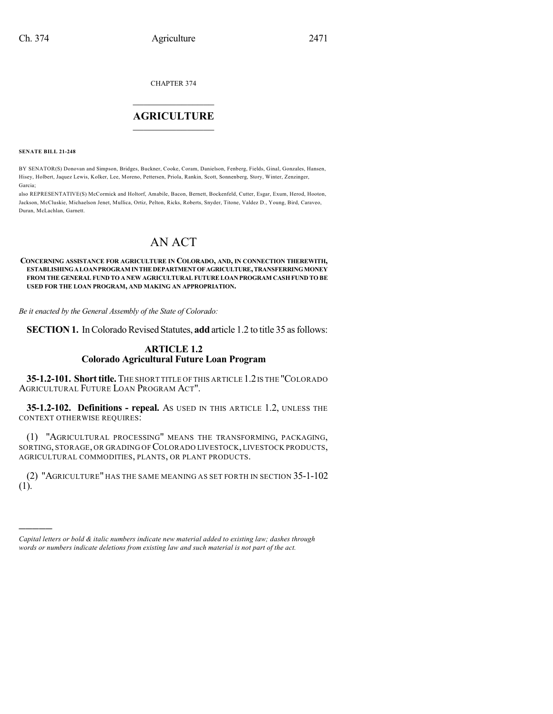CHAPTER 374

## $\overline{\phantom{a}}$  . The set of the set of the set of the set of the set of the set of the set of the set of the set of the set of the set of the set of the set of the set of the set of the set of the set of the set of the set o **AGRICULTURE**  $\_$   $\_$   $\_$   $\_$   $\_$   $\_$   $\_$   $\_$

**SENATE BILL 21-248**

)))))

BY SENATOR(S) Donovan and Simpson, Bridges, Buckner, Cooke, Coram, Danielson, Fenberg, Fields, Ginal, Gonzales, Hansen, Hisey, Holbert, Jaquez Lewis, Kolker, Lee, Moreno, Pettersen, Priola, Rankin, Scott, Sonnenberg, Story, Winter, Zenzinger, Garcia;

also REPRESENTATIVE(S) McCormick and Holtorf, Amabile, Bacon, Bernett, Bockenfeld, Cutter, Esgar, Exum, Herod, Hooton, Jackson, McCluskie, Michaelson Jenet, Mullica, Ortiz, Pelton, Ricks, Roberts, Snyder, Titone, Valdez D., Young, Bird, Caraveo, Duran, McLachlan, Garnett.

# AN ACT

#### **CONCERNING ASSISTANCE FOR AGRICULTURE IN COLORADO, AND, IN CONNECTION THEREWITH, ESTABLISHINGALOANPROGRAM INTHEDEPARTMENTOFAGRICULTURE,TRANSFERRINGMONEY FROM THE GENERAL FUND TO A NEW AGRICULTURAL FUTURELOAN PROGRAM CASHFUND TO BE USED FOR THE LOAN PROGRAM, AND MAKING AN APPROPRIATION.**

*Be it enacted by the General Assembly of the State of Colorado:*

**SECTION 1.** In Colorado Revised Statutes, **add** article 1.2 to title 35 as follows:

### **ARTICLE 1.2 Colorado Agricultural Future Loan Program**

**35-1.2-101. Shorttitle.**THE SHORT TITLE OF THIS ARTICLE 1.2IS THE "COLORADO AGRICULTURAL FUTURE LOAN PROGRAM ACT".

**35-1.2-102. Definitions - repeal.** AS USED IN THIS ARTICLE 1.2, UNLESS THE CONTEXT OTHERWISE REQUIRES:

(1) "AGRICULTURAL PROCESSING" MEANS THE TRANSFORMING, PACKAGING, SORTING, STORAGE, OR GRADING OF COLORADO LIVESTOCK, LIVESTOCK PRODUCTS, AGRICULTURAL COMMODITIES, PLANTS, OR PLANT PRODUCTS.

(2) "AGRICULTURE" HAS THE SAME MEANING AS SET FORTH IN SECTION 35-1-102 (1).

*Capital letters or bold & italic numbers indicate new material added to existing law; dashes through words or numbers indicate deletions from existing law and such material is not part of the act.*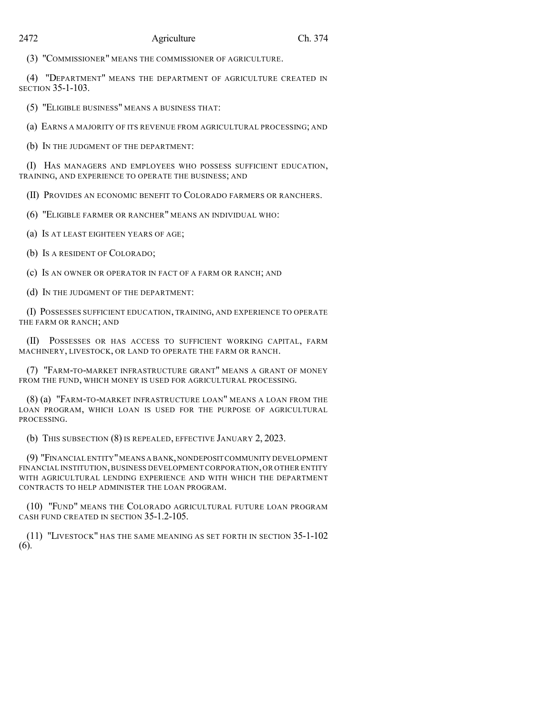#### 2472 Agriculture Ch. 374

(3) "COMMISSIONER" MEANS THE COMMISSIONER OF AGRICULTURE.

(4) "DEPARTMENT" MEANS THE DEPARTMENT OF AGRICULTURE CREATED IN SECTION 35-1-103.

(5) "ELIGIBLE BUSINESS" MEANS A BUSINESS THAT:

(a) EARNS A MAJORITY OF ITS REVENUE FROM AGRICULTURAL PROCESSING; AND

(b) IN THE JUDGMENT OF THE DEPARTMENT:

(I) HAS MANAGERS AND EMPLOYEES WHO POSSESS SUFFICIENT EDUCATION, TRAINING, AND EXPERIENCE TO OPERATE THE BUSINESS; AND

(II) PROVIDES AN ECONOMIC BENEFIT TO COLORADO FARMERS OR RANCHERS.

(6) "ELIGIBLE FARMER OR RANCHER" MEANS AN INDIVIDUAL WHO:

(a) IS AT LEAST EIGHTEEN YEARS OF AGE;

(b) IS A RESIDENT OF COLORADO;

(c) IS AN OWNER OR OPERATOR IN FACT OF A FARM OR RANCH; AND

(d) IN THE JUDGMENT OF THE DEPARTMENT:

(I) POSSESSES SUFFICIENT EDUCATION, TRAINING, AND EXPERIENCE TO OPERATE THE FARM OR RANCH; AND

(II) POSSESSES OR HAS ACCESS TO SUFFICIENT WORKING CAPITAL, FARM MACHINERY, LIVESTOCK, OR LAND TO OPERATE THE FARM OR RANCH.

(7) "FARM-TO-MARKET INFRASTRUCTURE GRANT" MEANS A GRANT OF MONEY FROM THE FUND, WHICH MONEY IS USED FOR AGRICULTURAL PROCESSING.

(8) (a) "FARM-TO-MARKET INFRASTRUCTURE LOAN" MEANS A LOAN FROM THE LOAN PROGRAM, WHICH LOAN IS USED FOR THE PURPOSE OF AGRICULTURAL PROCESSING.

(b) THIS SUBSECTION (8) IS REPEALED, EFFECTIVE JANUARY 2, 2023.

(9) "FINANCIAL ENTITY"MEANS A BANK,NONDEPOSIT COMMUNITY DEVELOPMENT FINANCIAL INSTITUTION,BUSINESS DEVELOPMENT CORPORATION,OR OTHER ENTITY WITH AGRICULTURAL LENDING EXPERIENCE AND WITH WHICH THE DEPARTMENT CONTRACTS TO HELP ADMINISTER THE LOAN PROGRAM.

(10) "FUND" MEANS THE COLORADO AGRICULTURAL FUTURE LOAN PROGRAM CASH FUND CREATED IN SECTION 35-1.2-105.

(11) "LIVESTOCK" HAS THE SAME MEANING AS SET FORTH IN SECTION 35-1-102 (6).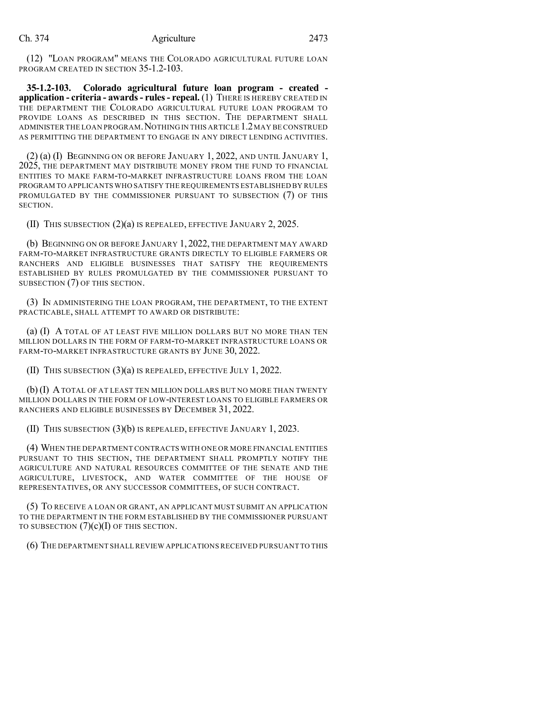(12) "LOAN PROGRAM" MEANS THE COLORADO AGRICULTURAL FUTURE LOAN PROGRAM CREATED IN SECTION 35-1.2-103.

**35-1.2-103. Colorado agricultural future loan program - created application - criteria - awards- rules- repeal.** (1) THERE IS HEREBY CREATED IN THE DEPARTMENT THE COLORADO AGRICULTURAL FUTURE LOAN PROGRAM TO PROVIDE LOANS AS DESCRIBED IN THIS SECTION. THE DEPARTMENT SHALL ADMINISTER THE LOAN PROGRAM.NOTHING IN THIS ARTICLE 1.2MAY BE CONSTRUED AS PERMITTING THE DEPARTMENT TO ENGAGE IN ANY DIRECT LENDING ACTIVITIES.

(2) (a) (I) BEGINNING ON OR BEFORE JANUARY 1, 2022, AND UNTIL JANUARY 1, 2025, THE DEPARTMENT MAY DISTRIBUTE MONEY FROM THE FUND TO FINANCIAL ENTITIES TO MAKE FARM-TO-MARKET INFRASTRUCTURE LOANS FROM THE LOAN PROGRAM TO APPLICANTS WHO SATISFY THE REQUIREMENTS ESTABLISHED BY RULES PROMULGATED BY THE COMMISSIONER PURSUANT TO SUBSECTION (7) OF THIS SECTION.

(II) THIS SUBSECTION (2)(a) IS REPEALED, EFFECTIVE JANUARY 2, 2025.

(b) BEGINNING ON OR BEFORE JANUARY 1, 2022, THE DEPARTMENT MAY AWARD FARM-TO-MARKET INFRASTRUCTURE GRANTS DIRECTLY TO ELIGIBLE FARMERS OR RANCHERS AND ELIGIBLE BUSINESSES THAT SATISFY THE REQUIREMENTS ESTABLISHED BY RULES PROMULGATED BY THE COMMISSIONER PURSUANT TO SUBSECTION (7) OF THIS SECTION.

(3) IN ADMINISTERING THE LOAN PROGRAM, THE DEPARTMENT, TO THE EXTENT PRACTICABLE, SHALL ATTEMPT TO AWARD OR DISTRIBUTE:

(a) (I) A TOTAL OF AT LEAST FIVE MILLION DOLLARS BUT NO MORE THAN TEN MILLION DOLLARS IN THE FORM OF FARM-TO-MARKET INFRASTRUCTURE LOANS OR FARM-TO-MARKET INFRASTRUCTURE GRANTS BY JUNE 30, 2022.

(II) THIS SUBSECTION (3)(a) IS REPEALED, EFFECTIVE JULY 1, 2022.

(b) (I) ATOTAL OF AT LEAST TEN MILLION DOLLARS BUT NO MORE THAN TWENTY MILLION DOLLARS IN THE FORM OF LOW-INTEREST LOANS TO ELIGIBLE FARMERS OR RANCHERS AND ELIGIBLE BUSINESSES BY DECEMBER 31, 2022.

(II) THIS SUBSECTION (3)(b) IS REPEALED, EFFECTIVE JANUARY 1, 2023.

(4) WHEN THE DEPARTMENT CONTRACTS WITH ONE OR MORE FINANCIAL ENTITIES PURSUANT TO THIS SECTION, THE DEPARTMENT SHALL PROMPTLY NOTIFY THE AGRICULTURE AND NATURAL RESOURCES COMMITTEE OF THE SENATE AND THE AGRICULTURE, LIVESTOCK, AND WATER COMMITTEE OF THE HOUSE OF REPRESENTATIVES, OR ANY SUCCESSOR COMMITTEES, OF SUCH CONTRACT.

(5) TO RECEIVE A LOAN OR GRANT, AN APPLICANT MUST SUBMIT AN APPLICATION TO THE DEPARTMENT IN THE FORM ESTABLISHED BY THE COMMISSIONER PURSUANT TO SUBSECTION  $(7)(c)(I)$  OF THIS SECTION.

(6) THE DEPARTMENT SHALLREVIEW APPLICATIONS RECEIVED PURSUANT TO THIS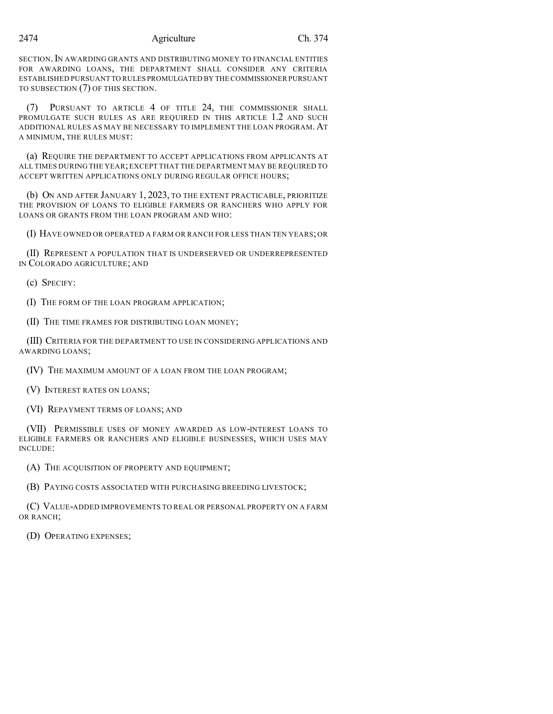#### 2474 Agriculture Ch. 374

SECTION.IN AWARDING GRANTS AND DISTRIBUTING MONEY TO FINANCIAL ENTITIES FOR AWARDING LOANS, THE DEPARTMENT SHALL CONSIDER ANY CRITERIA ESTABLISHED PURSUANT TO RULES PROMULGATED BY THE COMMISSIONER PURSUANT TO SUBSECTION (7) OF THIS SECTION.

(7) PURSUANT TO ARTICLE 4 OF TITLE 24, THE COMMISSIONER SHALL PROMULGATE SUCH RULES AS ARE REQUIRED IN THIS ARTICLE 1.2 AND SUCH ADDITIONAL RULES AS MAY BE NECESSARY TO IMPLEMENT THE LOAN PROGRAM.AT A MINIMUM, THE RULES MUST:

(a) REQUIRE THE DEPARTMENT TO ACCEPT APPLICATIONS FROM APPLICANTS AT ALL TIMES DURING THE YEAR;EXCEPT THAT THE DEPARTMENT MAY BE REQUIRED TO ACCEPT WRITTEN APPLICATIONS ONLY DURING REGULAR OFFICE HOURS;

(b) ON AND AFTER JANUARY 1, 2023, TO THE EXTENT PRACTICABLE, PRIORITIZE THE PROVISION OF LOANS TO ELIGIBLE FARMERS OR RANCHERS WHO APPLY FOR LOANS OR GRANTS FROM THE LOAN PROGRAM AND WHO:

(I) HAVE OWNED OR OPERATED A FARM OR RANCH FOR LESS THAN TEN YEARS; OR

(II) REPRESENT A POPULATION THAT IS UNDERSERVED OR UNDERREPRESENTED IN COLORADO AGRICULTURE; AND

(c) SPECIFY:

(I) THE FORM OF THE LOAN PROGRAM APPLICATION;

(II) THE TIME FRAMES FOR DISTRIBUTING LOAN MONEY;

(III) CRITERIA FOR THE DEPARTMENT TO USE IN CONSIDERING APPLICATIONS AND AWARDING LOANS;

(IV) THE MAXIMUM AMOUNT OF A LOAN FROM THE LOAN PROGRAM;

(V) INTEREST RATES ON LOANS;

(VI) REPAYMENT TERMS OF LOANS; AND

(VII) PERMISSIBLE USES OF MONEY AWARDED AS LOW-INTEREST LOANS TO ELIGIBLE FARMERS OR RANCHERS AND ELIGIBLE BUSINESSES, WHICH USES MAY INCLUDE:

(A) THE ACQUISITION OF PROPERTY AND EQUIPMENT;

(B) PAYING COSTS ASSOCIATED WITH PURCHASING BREEDING LIVESTOCK;

(C) VALUE-ADDED IMPROVEMENTS TO REAL OR PERSONAL PROPERTY ON A FARM OR RANCH;

(D) OPERATING EXPENSES;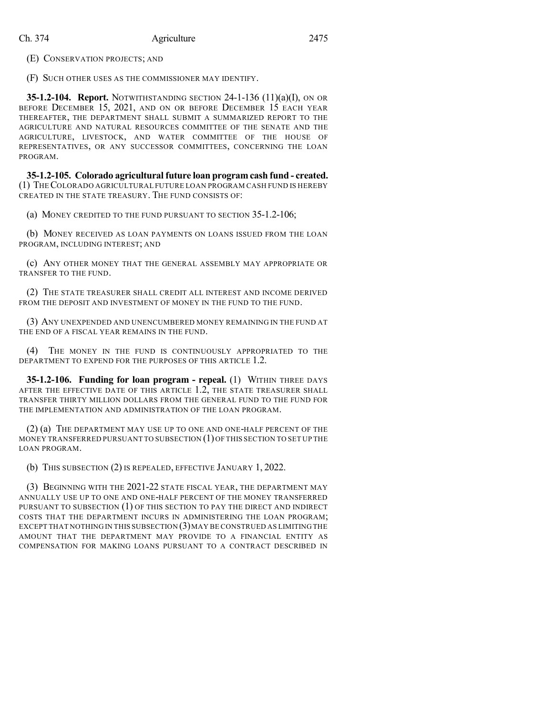(E) CONSERVATION PROJECTS; AND

(F) SUCH OTHER USES AS THE COMMISSIONER MAY IDENTIFY.

**35-1.2-104. Report.** NOTWITHSTANDING SECTION 24-1-136 (11)(a)(I), ON OR BEFORE DECEMBER 15, 2021, AND ON OR BEFORE DECEMBER 15 EACH YEAR THEREAFTER, THE DEPARTMENT SHALL SUBMIT A SUMMARIZED REPORT TO THE AGRICULTURE AND NATURAL RESOURCES COMMITTEE OF THE SENATE AND THE AGRICULTURE, LIVESTOCK, AND WATER COMMITTEE OF THE HOUSE OF REPRESENTATIVES, OR ANY SUCCESSOR COMMITTEES, CONCERNING THE LOAN PROGRAM.

**35-1.2-105. Colorado agricultural future loan programcash fund - created.** (1) THECOLORADO AGRICULTURAL FUTURE LOAN PROGRAM CASH FUND IS HEREBY CREATED IN THE STATE TREASURY. THE FUND CONSISTS OF:

(a) MONEY CREDITED TO THE FUND PURSUANT TO SECTION 35-1.2-106;

(b) MONEY RECEIVED AS LOAN PAYMENTS ON LOANS ISSUED FROM THE LOAN PROGRAM, INCLUDING INTEREST; AND

(c) ANY OTHER MONEY THAT THE GENERAL ASSEMBLY MAY APPROPRIATE OR TRANSFER TO THE FUND.

(2) THE STATE TREASURER SHALL CREDIT ALL INTEREST AND INCOME DERIVED FROM THE DEPOSIT AND INVESTMENT OF MONEY IN THE FUND TO THE FUND.

(3) ANY UNEXPENDED AND UNENCUMBERED MONEY REMAINING IN THE FUND AT THE END OF A FISCAL YEAR REMAINS IN THE FUND.

(4) THE MONEY IN THE FUND IS CONTINUOUSLY APPROPRIATED TO THE DEPARTMENT TO EXPEND FOR THE PURPOSES OF THIS ARTICLE 1.2.

**35-1.2-106. Funding for loan program - repeal.** (1) WITHIN THREE DAYS AFTER THE EFFECTIVE DATE OF THIS ARTICLE 1.2, THE STATE TREASURER SHALL TRANSFER THIRTY MILLION DOLLARS FROM THE GENERAL FUND TO THE FUND FOR THE IMPLEMENTATION AND ADMINISTRATION OF THE LOAN PROGRAM.

(2) (a) THE DEPARTMENT MAY USE UP TO ONE AND ONE-HALF PERCENT OF THE MONEY TRANSFERRED PURSUANT TO SUBSECTION (1)OF THIS SECTION TO SET UP THE LOAN PROGRAM.

(b) THIS SUBSECTION (2) IS REPEALED, EFFECTIVE JANUARY 1, 2022.

(3) BEGINNING WITH THE 2021-22 STATE FISCAL YEAR, THE DEPARTMENT MAY ANNUALLY USE UP TO ONE AND ONE-HALF PERCENT OF THE MONEY TRANSFERRED PURSUANT TO SUBSECTION (1) OF THIS SECTION TO PAY THE DIRECT AND INDIRECT COSTS THAT THE DEPARTMENT INCURS IN ADMINISTERING THE LOAN PROGRAM; EXCEPT THAT NOTHING IN THIS SUBSECTION  $(3)$  MAY BE CONSTRUED AS LIMITING THE AMOUNT THAT THE DEPARTMENT MAY PROVIDE TO A FINANCIAL ENTITY AS COMPENSATION FOR MAKING LOANS PURSUANT TO A CONTRACT DESCRIBED IN